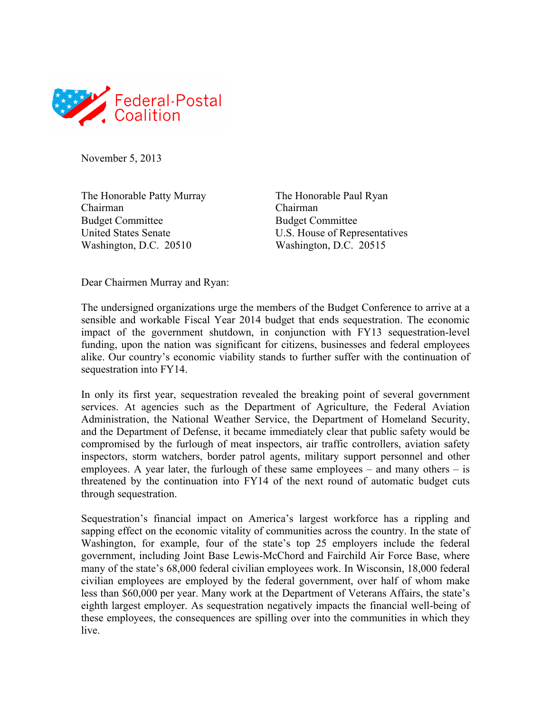

November 5, 2013

The Honorable Patty Murray The Honorable Paul Ryan Chairman Chairman Budget Committee Budget Committee Washington, D.C. 20510 Washington, D.C. 20515

United States Senate U.S. House of Representatives

Dear Chairmen Murray and Ryan:

The undersigned organizations urge the members of the Budget Conference to arrive at a sensible and workable Fiscal Year 2014 budget that ends sequestration. The economic impact of the government shutdown, in conjunction with FY13 sequestration-level funding, upon the nation was significant for citizens, businesses and federal employees alike. Our country's economic viability stands to further suffer with the continuation of sequestration into FY14.

In only its first year, sequestration revealed the breaking point of several government services. At agencies such as the Department of Agriculture, the Federal Aviation Administration, the National Weather Service, the Department of Homeland Security, and the Department of Defense, it became immediately clear that public safety would be compromised by the furlough of meat inspectors, air traffic controllers, aviation safety inspectors, storm watchers, border patrol agents, military support personnel and other employees. A year later, the furlough of these same employees  $-$  and many others  $-$  is threatened by the continuation into FY14 of the next round of automatic budget cuts through sequestration.

Sequestration's financial impact on America's largest workforce has a rippling and sapping effect on the economic vitality of communities across the country. In the state of Washington, for example, four of the state's top 25 employers include the federal government, including Joint Base Lewis-McChord and Fairchild Air Force Base, where many of the state's 68,000 federal civilian employees work. In Wisconsin, 18,000 federal civilian employees are employed by the federal government, over half of whom make less than \$60,000 per year. Many work at the Department of Veterans Affairs, the state's eighth largest employer. As sequestration negatively impacts the financial well-being of these employees, the consequences are spilling over into the communities in which they live.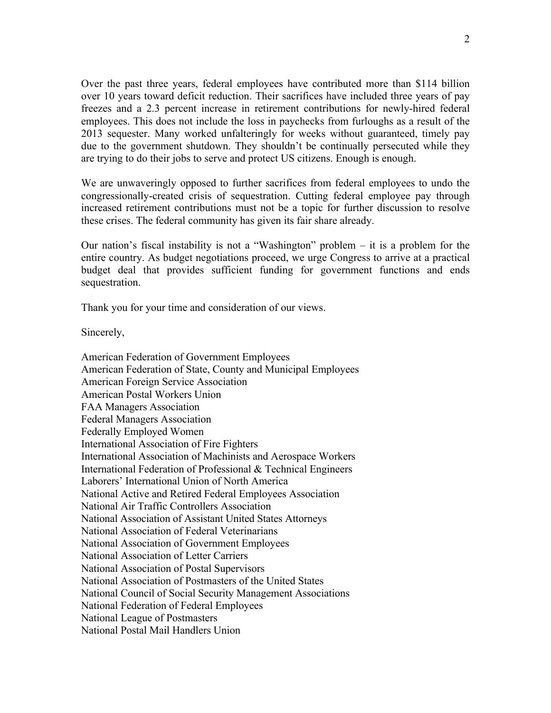Over the past three years, federal employees have contributed more than \$114 billion over 10 years toward deficit reduction. Their sacrifices have included three years of pay freezes and a 2.3 percent increase in retirement contributions for newly-hired federal employees. This does not include the loss in paychecks from furloughs as a result of the 2013 sequester. Many worked unfalteringly for weeks without guaranteed, timely pay due to the government shutdown. They shouldn't be continually persecuted while they are trying to do their jobs to serve and protect US citizens. Enough is enough.

We are unwaveringly opposed to further sacrifices from federal employees to undo the congressionally-created crisis of sequestration. Cutting federal employee pay through increased retirement contributions must not be a topic for further discussion to resolve these crises. The federal community has given its fair share already.

Our nation's fiscal instability is not a "Washington" problem – it is a problem for the entire country. As budget negotiations proceed, we urge Congress to arrive at a practical budget deal that provides sufficient funding for government functions and ends sequestration.

Thank you for your time and consideration of our views.

Sincerely,

American Federation of Government Employees American Federation of State, County and Municipal Employees American Foreign Service Association American Postal Workers Union FAA Managers Association Federal Managers Association Federally Employed Women International Association of Fire Fighters International Association of Machinists and Aerospace Workers International Federation of Professional & Technical Engineers Laborers' International Union of North America National Active and Retired Federal Employees Association National Air Traffic Controllers Association National Association of Assistant United States Attorneys National Association of Federal Veterinarians National Association of Government Employees National Association of Letter Carriers National Association of Postal Supervisors National Association of Postmasters of the United States National Council of Social Security Management Associations National Federation of Federal Employees National League of Postmasters National Postal Mail Handlers Union